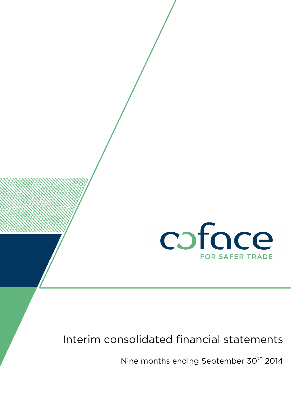

# Interim consolidated financial statements

Nine months ending September 30<sup>th</sup> 2014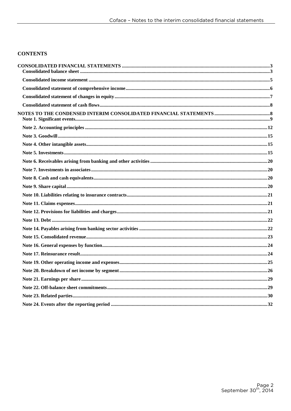#### **CONTENTS**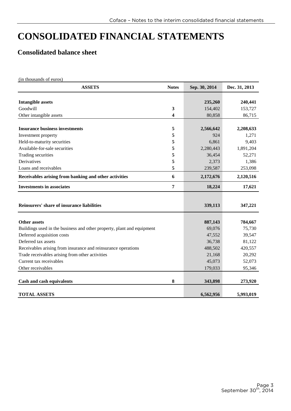# **CONSOLIDATED FINANCIAL STATEMENTS**

# **Consolidated balance sheet**

(in thousands of euros) **ASSETS Notes Sep. 30, 2014 Dec. 31, 2013 Intangible assets 240,441 235,260 240,441** Goodwill **3** 154,402 153,727 Other intangible assets 86,715 **Insurance business investments 5 2,566,642 2,208,633** Investment property **5** 924 1,271 Held-to-maturity securities **5** 6,861 9,403 Available-for-sale securities **5** 2,280,443 1,891,204 Trading securities **5** 36,454 52,271 **Derivatives** 1,386 Loans and receivables **5** 239,587 253,098 **Receivables arising from banking and other activities 6 2,172,676 2,120,516** 2,120,516 **Investments in associates 17,621** 17,621 **Reinsurers' share of insurance liabilities 339,113** 347,221 **Other assets 887,143** 784,667 Buildings used in the business and other property, plant and equipment 69,076 75,730 Deferred acquisition costs 47,552 39,547 Deferred tax assets 36,738 81,122 Receivables arising from insurance and reinsurance operations 488,502 420,557 Trade receivables arising from other activities 21,168 20,292 Current tax receivables 45,073 52,073 52,073 Other receivables 179,033 95,346 **Cash and cash equivalents 8 343,898 273,920 TOTAL ASSETS** 6,562,956 5,993,019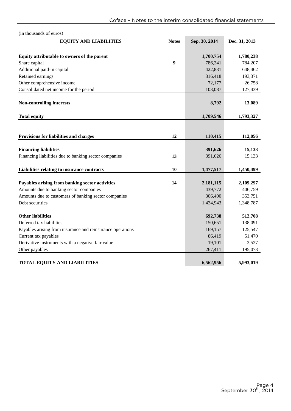| (in thousands of euros)                                                                    |                  |                      |                      |
|--------------------------------------------------------------------------------------------|------------------|----------------------|----------------------|
| <b>EQUITY AND LIABILITIES</b>                                                              | <b>Notes</b>     | Sep. 30, 2014        | Dec. 31, 2013        |
|                                                                                            |                  |                      |                      |
| Equity attributable to owners of the parent                                                |                  | 1,700,754            | 1,780,238            |
| Share capital                                                                              | $\boldsymbol{9}$ | 786,241              | 784,207              |
| Additional paid-in capital                                                                 |                  | 422,831              | 648,462              |
| Retained earnings                                                                          |                  | 316,418              | 193,371              |
| Other comprehensive income                                                                 |                  | 72,177               | 26,758               |
| Consolidated net income for the period                                                     |                  | 103,087              | 127,439              |
| <b>Non-controlling interests</b>                                                           |                  | 8,792                | 13,089               |
| <b>Total equity</b>                                                                        |                  | 1,709,546            | 1,793,327            |
|                                                                                            |                  |                      |                      |
|                                                                                            |                  |                      |                      |
| Provisions for liabilities and charges                                                     | 12               | 110,415              | 112,056              |
|                                                                                            |                  |                      |                      |
| <b>Financing liabilities</b>                                                               |                  | 391,626              | 15,133               |
| Financing liabilities due to banking sector companies                                      | 13               | 391,626              | 15,133               |
| Liabilities relating to insurance contracts                                                | 10               | 1,477,517            | 1,450,499            |
|                                                                                            | 14               |                      |                      |
| Payables arising from banking sector activities<br>Amounts due to banking sector companies |                  | 2,181,115<br>439,772 | 2,109,297<br>406,759 |
| Amounts due to customers of banking sector companies                                       |                  | 306,400              | 353,751              |
| Debt securities                                                                            |                  | 1,434,943            | 1,348,787            |
|                                                                                            |                  |                      |                      |
| <b>Other liabilities</b>                                                                   |                  | 692,738              | 512,708              |
| Deferred tax liabilities                                                                   |                  | 150,651              | 138,091              |
| Payables arising from insurance and reinsurance operations                                 |                  | 169,157              | 125,547              |
| Current tax payables                                                                       |                  | 86,419               | 51,470               |
| Derivative instruments with a negative fair value                                          |                  | 19,101               | 2,527                |
| Other payables                                                                             |                  | 267,411              | 195,073              |
|                                                                                            |                  |                      |                      |
| <b>TOTAL EQUITY AND LIABILITIES</b>                                                        |                  | 6,562,956            | 5,993,019            |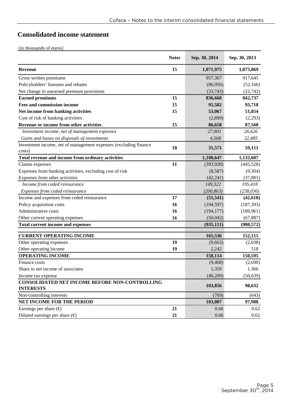# **Consolidated income statement**

|                                                                  | <b>Notes</b> | Sep. 30, 2014 | Sep. 30, 2013 |
|------------------------------------------------------------------|--------------|---------------|---------------|
| <b>Revenue</b>                                                   | 15           | 1,071,975     | 1,075,869     |
| Gross written premiums                                           |              | 957,367       | 917,645       |
| Policyholders' bonuses and rebates                               |              | (86,956)      | (52, 166)     |
| Net change in unearned premium provisions                        |              | (33,743)      | (22, 742)     |
| <b>Earned premiums</b>                                           | 15           | 836,668       | 842,737       |
| <b>Fees and commission income</b>                                | 15           | 95,582        | 93,718        |
| Net income from banking activities                               | 15           | 53,067        | 51,854        |
| Cost of risk of banking activities                               |              | (2,899)       | (2,293)       |
| Revenue or income from other activities                          | 15           | 86,658        | 87,560        |
| Investment income, net of management expenses                    |              | 27,003        | 26,626        |
| Gains and losses on disposals of investments                     |              | 4,568         | 32,485        |
| Investment income, net of management expenses (excluding finance | 18           | 31,571        | 59,111        |
| costs)                                                           |              |               |               |
| Total revenue and income from ordinary activities                |              | 1,100,647     | 1,132,687     |
| Claims expenses                                                  | 11           | (393, 928)    | (445, 528)    |
| Expenses from banking activities, excluding cost of risk         |              | (8,587)       | (9,304)       |
| Expenses from other activities                                   |              | (42, 241)     | (37, 881)     |
| Income from ceded reinsurance                                    |              | 149,322       | 195,418       |
| Expenses from ceded reinsurance                                  |              | (200, 863)    | (238, 036)    |
| Income and expenses from ceded reinsurance                       | 17           | (51, 541)     | (42, 618)     |
| Policy acquisition costs                                         | 16           | (194, 597)    | (187, 393)    |
| Administrative costs                                             | 16           | (194, 177)    | (189,961)     |
| Other current operating expenses                                 | 16           | (50,042)      | (67, 887)     |
| Total current income and expenses                                |              | (935, 111)    | (980, 572)    |
| <b>CURRENT OPERATING INCOME</b>                                  |              | 165,536       | 152,115       |
| Other operating expenses                                         | 19           | (9,663)       | (2,038)       |
| Other operating income                                           | 19           | 2,242         | 518           |
| <b>OPERATING INCOME</b>                                          |              | 158,114       | 150,595       |
| Finance costs                                                    |              | (9, 408)      | (2,690)       |
| Share in net income of associates                                |              | 1,359         | 1,366         |
| Income tax expense                                               |              | (46,209)      | (50, 639)     |
| CONSOLIDATED NET INCOME BEFORE NON-CONTROLLING                   |              |               |               |
| <b>INTERESTS</b>                                                 |              | 103,856       | 98,632        |
| Non-controlling interests                                        |              | (769)         | (643)         |
| NET INCOME FOR THE PERIOD                                        |              | 103,087       | 97,988        |
| Earnings per share $(\epsilon)$                                  | 21           | 0.66          | 0.62          |
| Diluted earnings per share $(\epsilon)$                          | 21           | 0.66          | 0.62          |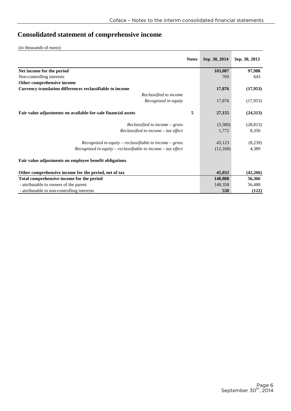# **Consolidated statement of comprehensive income**

|                                                               | <b>Notes</b> | Sep. 30, 2014 | Sep. 30, 2013 |
|---------------------------------------------------------------|--------------|---------------|---------------|
| Net income for the period                                     |              | 103,087       | 97,988        |
| Non-controlling interests                                     |              | 769           | 643           |
| Other comprehensive income                                    |              |               |               |
| Currency translation differences reclassifiable to income     |              | 17,876        | (17,953)      |
| Reclassified to income                                        |              |               |               |
| Recognized in equity                                          |              | 17,876        | (17,953)      |
| Fair value adjustments on available-for-sale financial assets | 5            | 27,155        | (24,313)      |
| $Reclassified to income - gross$                              |              | (5,580)       | (28, 813)     |
| $Reclassified to income - tax effect$                         |              | 1,772         | 8,350         |
| $Recognized$ in equity – reclassifiable to income – gross     |              | 43,123        | (8,239)       |
| Recognized in equity – reclassifiable to income – tax effect  |              | (12,160)      | 4,389         |
| Fair value adjustments on employee benefit obligations        |              |               |               |
| Other comprehensive income for the period, net of tax         |              | 45,032        | (42, 266)     |
| Total comprehensive income for the period                     |              | 148,888       | 56,366        |
| - attributable to owners of the parent                        |              | 148,358       | 56,488        |
| - attributable to non-controlling interests                   |              | 530           | (122)         |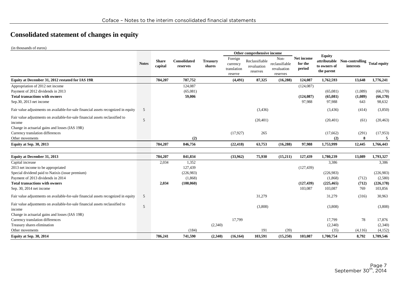# **Consolidated statement of changes in equity**

|                                                                                                                                           |              |                         |                               |                           |                                               | Other comprehensive income                |                                                   |                                   |                                                             |                                           |                                |
|-------------------------------------------------------------------------------------------------------------------------------------------|--------------|-------------------------|-------------------------------|---------------------------|-----------------------------------------------|-------------------------------------------|---------------------------------------------------|-----------------------------------|-------------------------------------------------------------|-------------------------------------------|--------------------------------|
|                                                                                                                                           | <b>Notes</b> | <b>Share</b><br>capital | Consolidated<br>reserves      | <b>Treasury</b><br>shares | Foreign<br>currency<br>translation<br>reserve | Reclassifiable<br>revaluation<br>reserves | Non-<br>reclassifiable<br>revaluation<br>reserves | Net income<br>for the<br>period   | <b>Equity</b><br>attributable<br>to owners of<br>the parent | Non-controlling Total equity<br>interests |                                |
| Equity at December 31, 2012 restated for IAS 19R                                                                                          |              | 784,207                 | 787,752                       |                           | (4, 491)                                      | 87,325                                    | (16, 288)                                         | 124,087                           | 1,762,593                                                   | 13,648                                    | 1,776,241                      |
| Appropriation of 2012 net income<br>Payment of 2012 dividends in 2013<br><b>Total transactions with owners</b><br>Sep.30, 2013 net income |              |                         | 124,087<br>(65,081)<br>59,006 |                           |                                               |                                           |                                                   | (124,087)<br>(124, 087)<br>97,988 | (65,081)<br>(65,081)<br>97,988                              | (1,089)<br>(1,089)<br>643                 | (66,170)<br>(66,170)<br>98,632 |
| Fair value adjustments on available-for-sale financial assets recognized in equity                                                        | 5            |                         |                               |                           |                                               | (3,436)                                   |                                                   |                                   | (3, 436)                                                    | (414)                                     | (3,850)                        |
| Fair value adjustments on available-for-sale financial assets reclassified to<br>income                                                   | 5            |                         |                               |                           |                                               | (20, 401)                                 |                                                   |                                   | (20, 401)                                                   | (61)                                      | (20, 463)                      |
| Change in actuarial gains and losses (IAS 19R)<br>Currency translation differences<br>Other movements                                     |              |                         | (2)                           |                           | (17, 927)                                     | 265                                       |                                                   |                                   | (17,662)<br>(2)                                             | (291)<br>8                                | (17,953)                       |
| <b>Equity at Sep. 30, 2013</b>                                                                                                            |              | 784,207                 | 846,756                       |                           | (22, 418)                                     | 63,753                                    | (16, 288)                                         | 97,988                            | 1,753,999                                                   | 12,445                                    | 1,766,443                      |
| <b>Equity at December 31, 2013</b>                                                                                                        |              | 784,207                 | 841,834                       |                           | (33,962)                                      | 75,930                                    | (15,211)                                          | 127,439                           | 1,780,239                                                   | 13,089                                    | 1,793,327                      |
| Capital increase                                                                                                                          |              | 2,034                   | 1,352                         |                           |                                               |                                           |                                                   |                                   | 3,386                                                       |                                           | 3,386                          |
| 2013 net income to be appropriated                                                                                                        |              |                         | 127,439                       |                           |                                               |                                           |                                                   | (127, 439)                        |                                                             |                                           |                                |

| 2013 net income to be appropriated                                                      |               |         | 127.439   |         |           |         |          | (127, 439) |            |         |            |
|-----------------------------------------------------------------------------------------|---------------|---------|-----------|---------|-----------|---------|----------|------------|------------|---------|------------|
| Special dividend paid to Natixis (issue premium)                                        |               |         | (226,983) |         |           |         |          |            | (226,983)  |         | (226,983)  |
| Payment of 2013 dividends in 2014                                                       |               |         | (1, 868)  |         |           |         |          |            | (1,868)    | (712)   | (2,580)    |
| <b>Total transactions with owners</b>                                                   |               | 2,034   | (100,060) |         |           |         |          | (127, 439) | (225, 465) | (712)   | (226, 178) |
| Sep. $30$ , $2014$ net income                                                           |               |         |           |         |           |         |          | 103,087    | 103,087    | 769     | 103,856    |
| Fair value adjustments on available-for-sale financial assets recognized in equity      | $\mathcal{D}$ |         |           |         |           | 31,279  |          |            | 31,279     | (316)   | 30,963     |
| Fair value adjustments on available-for-sale financial assets reclassified to<br>income | $\mathbf{r}$  |         |           |         |           | (3,808) |          |            | (3,808)    |         | (3,808)    |
| Change in actuarial gains and losses (IAS 19R)                                          |               |         |           |         |           |         |          |            |            |         |            |
| Currency translation differences                                                        |               |         |           |         | 17,799    |         |          |            | 17,799     | 78      | 17,876     |
| Treasury shares elimination                                                             |               |         |           | (2,340) |           |         |          |            | (2,340)    |         | (2,340)    |
| Other movements                                                                         |               |         | (184)     |         |           | 191     | (39)     |            | (35)       | (4,116) | (4,152)    |
| Equity at Sep. 30, 2014                                                                 |               | 786.241 | 741.590   | (2,340) | (16, 164) | 103,591 | (15,250) | 103,087    | 1,700,754  | 8,792   | 1,709,546  |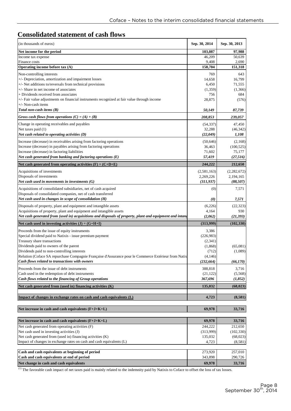# **Consolidated statement of cash flows**

| (in thousands of euros)                                                                                                                                                         | Sep. 30, 2014         | Sep. 30, 2013    |
|---------------------------------------------------------------------------------------------------------------------------------------------------------------------------------|-----------------------|------------------|
| Net income for the period                                                                                                                                                       | 103,087               | 97,988           |
| Income tax expense                                                                                                                                                              | 46,209                | 50,639           |
| Finance costs                                                                                                                                                                   | 9,408                 | 2,690            |
| Operating income before tax (A)                                                                                                                                                 | 158,704               | 151,318          |
| Non-controlling interests                                                                                                                                                       | 769                   | 643              |
| +/- Depreciation, amortization and impairment losses                                                                                                                            | 14,658                | 16,799           |
| +/- Net additions to/reversals from technical provisions                                                                                                                        | 6,450                 | 71,555           |
| +/- Share in net income of associates                                                                                                                                           | (1,359)               | (1,366)          |
| + Dividends received from associates                                                                                                                                            | 756                   | 684              |
| +/- Fair value adjustments on financial instruments recognized at fair value through income<br>+/- Non-cash items                                                               | 28,875                | (576)            |
| Total non-cash items $(B)$                                                                                                                                                      | 50,149                | 87,739           |
| Gross cash flows from operations $(C) = (A) + (B)$                                                                                                                              | 208,853               | 239,057          |
| Change in operating receivables and payables                                                                                                                                    | (54, 337)             | 47,450           |
| Net taxes paid (1)                                                                                                                                                              | 32,288                | (46, 342)        |
| Net cash related to operating activities (D)                                                                                                                                    | (22,049)              | 1,108            |
| Increase (decrease) in receivables arising from factoring operations                                                                                                            | (50, 646)             | (2,168)          |
| Increase (decrease) in payables arising from factoring operations                                                                                                               | 36,463                | (100, 525)       |
| Increase (decrease) in factoring liabilities                                                                                                                                    | 71,602                | 75,177           |
| Net cash generated from banking and factoring operations $(E)$                                                                                                                  | 57,419                | (27,516)         |
| Net cash generated from operating activities $(F) = (C+D+E)$                                                                                                                    | 244,222               | 212,650          |
| Acquisitions of investments                                                                                                                                                     | (2,581,163)           | (2,282,672)      |
| Disposals of investments                                                                                                                                                        | 2,269,226             | 2,194,165        |
| Net cash used in movements in investments $(G)$                                                                                                                                 | (311, 937)            | (88,507)         |
| Acquisitions of consolidated subsidiaries, net of cash acquired                                                                                                                 | (0)                   | 7,571            |
| Disposals of consolidated companies, net of cash transferred<br>Net cash used in changes in scope of consolidation $(H)$                                                        | $\boldsymbol{\theta}$ | 7,571            |
|                                                                                                                                                                                 |                       |                  |
| Disposals of property, plant and equipment and intangible assets                                                                                                                | (6,226)               | (22, 323)        |
| Acquisitions of property, plant and equipment and intangible assets<br>Net cash generated from (used in) acquisitions and disposals of property, plant and equipment and intang | 4,164<br>(2,062)      | 930<br>(21, 393) |
|                                                                                                                                                                                 |                       |                  |
| Net cash used in investing activities $(J) = (G+H+I)$                                                                                                                           | (313,999)             | (102, 330)       |
| Proceeds from the issue of equity instruments                                                                                                                                   | 3,386                 |                  |
| Special dividend paid to Natixis - issue premium payment                                                                                                                        | (226,983)             |                  |
| Treasury share transactions                                                                                                                                                     | (2,341)               |                  |
| Dividends paid to owners of the parent                                                                                                                                          | (1,868)               | (65,081)         |
| Dividends paid to non-controlling interests<br>Relution (Coface SA repurchase Compagnie Française d'Assurance pour le Commerce Extérieur from Natix                             | (712)<br>(4,146)      | (1,089)          |
| Cash flows related to transactions with owners                                                                                                                                  | (232, 664)            | (66, 170)        |
|                                                                                                                                                                                 |                       |                  |
| Proceeds from the issue of debt instruments<br>Cash used in the redemption of debt instruments                                                                                  | 388,818<br>(21, 122)  | 3,716<br>(5,568) |
| Cash flows related to the financing of Group operations                                                                                                                         | 367,696               | (1, 852)         |
| Net cash generated from (used in) financing activities $(K)$                                                                                                                    | 135,032               | (68, 023)        |
|                                                                                                                                                                                 |                       |                  |
| Impact of changes in exchange rates on cash and cash equivalents (L)                                                                                                            | 4,723                 | (8,581)          |
| Net increase in cash and cash equivalents (F+J+K+L)                                                                                                                             | 69,978                | 33,716           |
|                                                                                                                                                                                 |                       |                  |
| Net increase in cash and cash equivalents (F+J+K+L)                                                                                                                             | 69,978                | 33,716           |
| Net cash generated from operating activities (F)                                                                                                                                | 244,222               | 212,650          |
| Net cash used in investing activities (J)                                                                                                                                       | (313,999)             | (102, 330)       |
| Net cash generated from (used in) financing activities (K)                                                                                                                      | 135,032               | (68,023)         |
| Impact of changes in exchange rates on cash and cash equivalents (L)                                                                                                            | 4,723                 | (8,581)          |
|                                                                                                                                                                                 |                       |                  |
| Cash and cash equivalents at beginning of period                                                                                                                                | 273,920               | 257,010          |
| Cash and cash equivalents at end of period<br>Net change in cash and cash equivalents                                                                                           | 343,898               | 290,726          |
|                                                                                                                                                                                 | 69,978                | 33,716           |

(1) The favorable cash impact of net taxes paid is mainly related to the indemnity paid by Natixis to Coface to offset the loss of tax losses.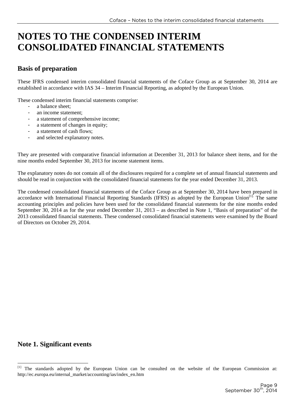# **NOTES TO THE CONDENSED INTERIM CONSOLIDATED FINANCIAL STATEMENTS**

### **Basis of preparation**

These IFRS condensed interim consolidated financial statements of the Coface Group as at September 30, 2014 are established in accordance with IAS 34 – Interim Financial Reporting, as adopted by the European Union.

These condensed interim financial statements comprise:

- a balance sheet:
- an income statement;
- a statement of comprehensive income;
- a statement of changes in equity;
- a statement of cash flows:
- and selected explanatory notes.

They are presented with comparative financial information at December 31, 2013 for balance sheet items, and for the nine months ended September 30, 2013 for income statement items.

The explanatory notes do not contain all of the disclosures required for a complete set of annual financial statements and should be read in conjunction with the consolidated financial statements for the year ended December 31, 2013.

The condensed consolidated financial statements of the Coface Group as at September 30, 2014 have been prepared in accordance with International Financial Reporting Standards (IFRS) as adopted by the European Union<sup>[1].</sup> The same accounting principles and policies have been used for the consolidated financial statements for the nine months ended September 30, 2014 as for the year ended December 31, 2013 – as described in Note 1, "Basis of preparation" of the 2013 consolidated financial statements. These condensed consolidated financial statements were examined by the Board of Directors on October 29, 2014.

### **Note 1. Significant events**

 $\overline{a}$ 

<sup>[1]</sup> The standards adopted by the European Union can be consulted on the website of the European Commission at: http://ec.europa.eu/internal\_market/accounting/ias/index\_en.htm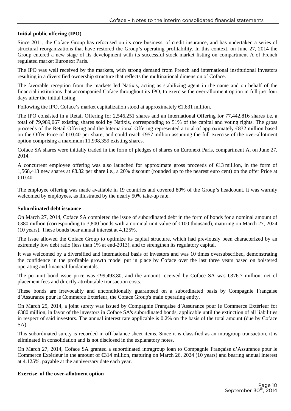#### **Initial public offering (IPO)**

Since 2011, the Coface Group has refocused on its core business, of credit insurance, and has undertaken a series of structural reorganizations that have restored the Group's operating profitability. In this context, on June 27, 2014 the Group entered a new stage of its development with its successful stock market listing on compartment A of French regulated market Euronext Paris.

The IPO was well received by the markets, with strong demand from French and international institutional investors resulting in a diversified ownership structure that reflects the multinational dimension of Coface.

The favorable reception from the markets led Natixis, acting as stabilizing agent in the name and on behalf of the financial institutions that accompanied Coface throughout its IPO, to exercise the over-allotment option in full just four days after the initial listing.

Following the IPO, Coface's market capitalization stood at approximately  $\epsilon$ 1,631 million.

The IPO consisted in a Retail Offering for 2,546,251 shares and an International Offering for 77,442,816 shares i.e. a total of 79,989,067 existing shares sold by Natixis, corresponding to 51% of the capital and voting rights. The gross proceeds of the Retail Offering and the International Offering represented a total of approximately €832 million based on the Offer Price of  $\epsilon$ 10.40 per share, and could reach  $\epsilon$ 957 million assuming the full exercise of the over-allotment option comprising a maximum 11,998,359 existing shares.

Coface SA shares were initially traded in the form of pledges of shares on Euronext Paris, compartment A, on June 27, 2014.

A concurrent employee offering was also launched for approximate gross proceeds of €13 million, in the form of 1,568,413 new shares at €8.32 per share i.e., a 20% discount (rounded up to the nearest euro cent) on the offer Price at €10.40.

The employee offering was made available in 19 countries and covered 80% of the Group's headcount. It was warmly welcomed by employees, as illustrated by the nearly 50% take-up rate.

#### **Subordinated debt issuance**

On March 27, 2014, Coface SA completed the issue of subordinated debt in the form of bonds for a nominal amount of €380 million (corresponding to 3,800 bonds with a mminal unit value of €100 thousand), maturing on March 27, 2024 (10 years). These bonds bear annual interest at 4.125%.

The issue allowed the Coface Group to optimize its capital structure, which had previously been characterized by an extremely low debt ratio (less than 1% at end-2013), and to strengthen its regulatory capital.

It was welcomed by a diversified and international basis of investors and was 10 times oversubscribed, demonstrating the confidence in the profitable growth model put in place by Coface over the last three years based on bolstered operating and financial fundamentals.

The per-unit bond issue price was €99,493.80, and the amount received by Coface SA was €376.7 million, net of placement fees and directly-attributable transaction costs.

These bonds are irrevocably and unconditionally guaranteed on a subordinated basis by Compagnie Française d'Assurance pour le Commerce Extérieur, the Coface Group's main operating entity.

On March 25, 2014, a joint surety was issued by Compagnie Française d'Assurance pour le Commerce Extérieur for €380 million, in favor of the investors in Coface SA's subordinated bonds, applicable until the extinction of all liabilities in respect of said investors. The annual interest rate applicable is 0.2% on the basis of the total amount (due by Coface SA).

This subordinated surety is recorded in off-balance sheet items. Since it is classified as an intragroup transaction, it is eliminated in consolidation and is not disclosed in the explanatory notes.

On March 27, 2014, Coface SA granted a subordinated intragroup loan to Compagnie Française d'Assurance pour le Commerce Extérieur in the amount of €314 million, maturing on March 26, 2024 (10 years) and bearing annual interest at 4.125%, payable at the anniversary date each year.

#### **Exercise of the over-allotment option**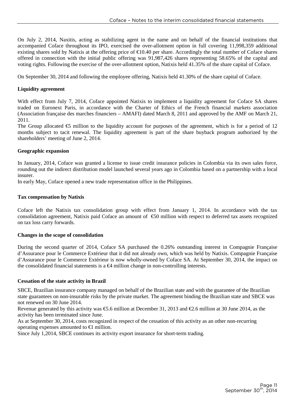On July 2, 2014, Naxitis, acting as stabilizing agent in the name and on behalf of the financial institutions that accompanied Coface throughout its IPO, exercised the over-allotment option in full covering 11,998,359 additional existing shares sold by Natixis at the offering price of  $\epsilon$ 10.40 per share. Accordingly the total number of Coface shares offered in connection with the initial public offering was 91,987,426 shares representing 58.65% of the capital and voting rights. Following the exercise of the over-allotment option, Natixis held 41.35% of the share capital of Coface.

On September 30, 2014 and following the employee offering, Natixis held 41.30% of the share capital of Coface.

#### **Liquidity agreement**

With effect from July 7, 2014, Coface appointed Natixis to implement a liquidity agreement for Coface SA shares traded on Euronext Paris, in accordance with the Charter of Ethics of the French financial markets association (Association française des marches financiers – AMAFI) dated March 8, 2011 and approved by the AMF on March 21, 2011.

The Group allocated  $\epsilon$ 5 million to the liquidity account for purposes of the agreement, which is for a period of 12 months subject to tacit renewal. The liquidity agreement is part of the share buyback program authorized by the shareholders' meeting of June 2, 2014.

#### **Geographic expansion**

In January, 2014, Coface was granted a license to issue credit insurance policies in Colombia via its own sales force, rounding out the indirect distribution model launched several years ago in Colombia based on a partnership with a local insurer.

In early May, Coface opened a new trade representation office in the Philippines.

#### **Tax compensation by Natixis**

Coface left the Natixis tax consolidation group with effect from January 1, 2014. In accordance with the tax consolidation agreement, Natixis paid Coface an amount of €50 million with respect to deferred tax assets recognized on tax loss carry forwards.

#### **Changes in the scope of consolidation**

During the second quarter of 2014, Coface SA purchased the 0.26% outstanding interest in Compagnie Française d'Assurance pour le Commerce Extérieur that it did not already own, which was held by Natixis. Compagnie Française d'Assurance pour le Commerce Extérieur is now wholly-owned by Coface SA. At September 30, 2014, the impact on the consolidated financial statements is a  $\epsilon$ 4 million change in non-controlling interests.

#### **Cessation of the state activity in Brazil**

SBCE, Brazilian insurance company managed on behalf of the Brazilian state and with the guarantee of the Brazilian state guarantees on non-insurable risks by the private market. The agreement binding the Brazilian state and SBCE was not renewed on 30 June 2014.

Revenue generated by this activity was  $\epsilon$ 5.6 millionat December 31, 2013 and  $\epsilon$ 2.6 million at 30 June 2014, as the activity has been terminated since June.

As at September 30, 2014, costs recognized in respect of the cessation of this activity as an other non-recurring operating expenses amounted to  $\in$ 1 million.

Since July 1,2014, SBCE continues its activity export insurance for short-term trading.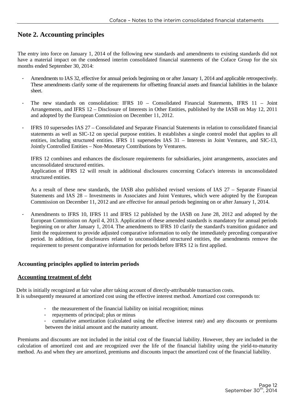## **Note 2. Accounting principles**

The entry into force on January 1, 2014 of the following new standards and amendments to existing standards did not have a material impact on the condensed interim consolidated financial statements of the Coface Group for the six months ended September 30, 2014:

- Amendments to IAS 32, effective for annual periods beginning on or after January 1, 2014 and applicable retrospectively. These amendments clarify some of the requirements for offsetting financial assets and financial liabilities in the balance sheet.
- The new standards on consolidation: IFRS 10 Consolidated Financial Statements, IFRS 11 Joint Arrangements, and IFRS 12 – Disclosure of Interests in Other Entities, published by the IASB on May 12, 2011 and adopted by the European Commission on December 11, 2012.
- IFRS 10 supersedes IAS 27 Consolidated and Separate Financial Statements in relation to consolidated financial statements as well as SIC-12 on special purpose entities. It establishes a single control model that applies to all entities, including structured entities. IFRS 11 supersedes IAS 31 – Interests in Joint Ventures, and SIC-13, Jointly Controlled Entities – Non-Monetary Contributions by Venturers.

IFRS 12 combines and enhances the disclosure requirements for subsidiaries, joint arrangements, associates and unconsolidated structured entities.

Application of IFRS 12 will result in additional disclosures concerning Coface's interests in unconsolidated structured entities.

As a result of these new standards, the IASB also published revised versions of IAS 27 – Separate Financial Statements and IAS 28 – Investments in Associates and Joint Ventures, which were adopted by the European Commission on December 11, 2012 and are effective for annual periods beginning on or after January 1, 2014.

Amendments to IFRS 10, IFRS 11 and IFRS 12 published by the IASB on June 28, 2012 and adopted by the European Commission on April 4, 2013. Application of these amended standards is mandatory for annual periods beginning on or after January 1, 2014. The amendments to IFRS 10 clarify the standard's transition guidance and limit the requirement to provide adjusted comparative information to only the immediately preceding comparative period. In addition, for disclosures related to unconsolidated structured entities, the amendments remove the requirement to present comparative information for periods before IFRS 12 is first applied.

#### **Accounting principles applied to interim periods**

#### **Accounting treatment of debt**

Debt is initially recognized at fair value after taking account of directly-attributable transaction costs. It is subsequently measured at amortized cost using the effective interest method. Amortized cost corresponds to:

- the measurement of the financial liability on initial recognition; minus
- repayments of principal; plus or minus
- cumulative amortization (calculated using the effective interest rate) and any discounts or premiums between the initial amount and the maturity amount.

Premiums and discounts are not included in the initial cost of the financial liability. However, they are included in the calculation of amortized cost and are recognized over the life of the financial liability using the yield-to-maturity method. As and when they are amortized, premiums and discounts impact the amortized cost of the financial liability.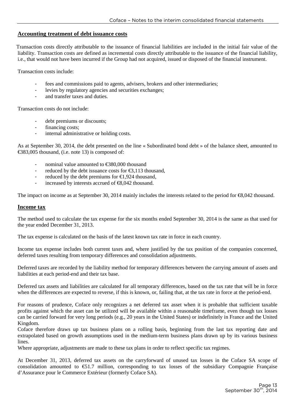#### **Accounting treatment of debt issuance costs**

Transaction costs directly attributable to the issuance of financial liabilities are included in the initial fair value of the liability. Transaction costs are defined as incremental costs directly attributable to the issuance of the financial liability, i.e., that would not have been incurred if the Group had not acquired, issued or disposed of the financial instrument.

Transaction costs include:

- fees and commissions paid to agents, advisers, brokers and other intermediaries;
- levies by regulatory agencies and securities exchanges;
- and transfer taxes and duties.

Transaction costs do not include:

- debt premiums or discounts;
- financing costs;
- internal administrative or holding costs.

As at September 30, 2014, the debt presented on the line « Subordinated bond debt » of the balance sheet, amounted to €383,005 thousand, (i.e. note 13) is composed of:

- nominal value amounted to  $\epsilon$ 380,000 thousand
- reduced by the debt issuance costs for  $\epsilon$ 3,113 thousand,
- reduced by the debt premiums for  $\epsilon$ 1,924 thousand,
- increased by interests accrued of  $\epsilon$ 8,042 thousand.

The impact on income as at September 30, 2014 mainly includes the interests related to the period for  $\epsilon$ 8,042 thousand.

#### **Income tax**

The method used to calculate the tax expense for the six months ended September 30, 2014 is the same as that used for the year ended December 31, 2013.

The tax expense is calculated on the basis of the latest known tax rate in force in each country.

Income tax expense includes both current taxes and, where justified by the tax position of the companies concerned, deferred taxes resulting from temporary differences and consolidation adjustments.

Deferred taxes are recorded by the liability method for temporary differences between the carrying amount of assets and liabilities at each period-end and their tax base.

Deferred tax assets and liabilities are calculated for all temporary differences, based on the tax rate that will be in force when the differences are expected to reverse, if this is known, or, failing that, at the tax rate in force at the period-end.

For reasons of prudence, Coface only recognizes a net deferred tax asset when it is probable that sufficient taxable profits against which the asset can be utilized will be available within a reasonable timeframe, even though tax losses can be carried forward for very long periods (e.g., 20 years in the United States) or indefinitely in France and the United Kingdom.

Coface therefore draws up tax business plans on a rolling basis, beginning from the last tax reporting date and extrapolated based on growth assumptions used in the medium-term business plans drawn up by its various business lines.

Where appropriate, adjustments are made to these tax plans in order to reflect specific tax regimes.

At December 31, 2013, deferred tax assets on the carryforward of unused tax losses in the Coface SA scope of consolidation amounted to  $\epsilon$ 51.7 million, corresponding to tax losses of the subsidiary Compagnie Française d'Assurance pour le Commerce Extérieur (formerly Coface SA).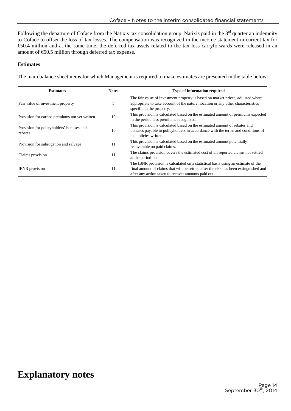Following the departure of Coface from the Natixis tax consolidation group, Natixis paid in the  $3<sup>rd</sup>$  quarter an indemnity to Coface to offset the loss of tax losses. The compensation was recognized in the income statement in current tax for €50.4 million and at the same time, the deferred tax assets related to the tax loss carryforwards were released in an amount of  $\epsilon$ 50.5 million through deferred tax expense.

#### **Estimates**

The main balance sheet items for which Management is required to make estimates are presented in the table below:

| <b>Estimates</b>                                    | <b>Notes</b> | <b>Type of information required</b>                                                                                                                                                                                             |
|-----------------------------------------------------|--------------|---------------------------------------------------------------------------------------------------------------------------------------------------------------------------------------------------------------------------------|
| Fair value of investment property                   | 5            | The fair value of investment property is based on market prices, adjusted where<br>appropriate to take account of the nature, location or any other characteristics<br>specific to the property.                                |
| Provision for earned premiums not yet written       | 10           | This provision is calculated based on the estimated amount of premiums expected<br>in the period less premiums recognized.                                                                                                      |
| Provision for policyholders' bonuses and<br>rebates | 10           | This provision is calculated based on the estimated amount of rebates and<br>bonuses payable to policyholders in accordance with the terms and conditions of<br>the policies written.                                           |
| Provision for subrogation and salvage               | 11           | This provision is calculated based on the estimated amount potentially<br>recoverable on paid claims.                                                                                                                           |
| Claims provision                                    | 11           | The claims provision covers the estimated cost of all reported claims not settled<br>at the period-end.                                                                                                                         |
| <b>IBNR</b> provision                               | 11           | The IBNR provision is calculated on a statistical basis using an estimate of the<br>final amount of claims that will be settled after the risk has been extinguished and<br>after any action taken to recover amounts paid out. |

# **Explanatory notes**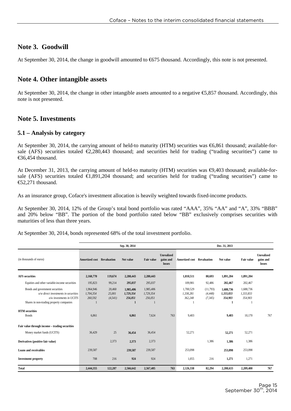### **Note 3. Goodwill**

At September 30, 2014, the change in goodwill amounted to  $\epsilon$ 675 thousand. Accordingly, this note is not presented.

### **Note 4. Other intangible assets**

At September 30, 2014, the change in other intangible assets amounted to a negative €5,857 thousand. Accordingly, this note is not presented.

### **Note 5. Investments**

#### **5.1 – Analysis by category**

At September 30, 2014, the carrying amount of held-to maturity (HTM) securities was €6,861 thousand; available-forsale (AFS) securities totaled  $\epsilon$ 2,280,443 thousand; and securities held for trading ("trading securities") came to €36,454 thousand.

At December 31, 2013, the carrying amount of held-to maturity (HTM) securities was  $\epsilon$ 9,403 thousand; available-forsale (AFS) securities totaled  $\epsilon$ 1,891,204 thousand; and securities held for trading ("trading securities") came to €52,271 thousand.

As an insurance group, Coface's investment allocation is heavily weighted towards fixed-income products.

At September 30, 2014, 12% of the Group's total bond portfolio was rated "AAA", 35% "AA" and "A", 33% "BBB" and 20% below "BB". The portion of the bond portfolio rated below "BB" exclusively comprises securities with maturities of less than three years.

At September 30, 2014, bonds represented 68% of the total investment portfolio.

|                                                                                                                                                   |                                   |                              | Sep. 30, 2014                                     |                                   |                                          |                                   |                                  | Dec. 31, 2013                          |                                   |                                          |
|---------------------------------------------------------------------------------------------------------------------------------------------------|-----------------------------------|------------------------------|---------------------------------------------------|-----------------------------------|------------------------------------------|-----------------------------------|----------------------------------|----------------------------------------|-----------------------------------|------------------------------------------|
| (in thousands of euros)                                                                                                                           | <b>Amortized cost</b> Revaluation |                              | Net value                                         | Fair value                        | <b>Unrealized</b><br>gains and<br>losses | <b>Amortized cost</b>             | Revaluation                      | Net value                              | Fair value                        | <b>Unrealized</b><br>gains and<br>losses |
| <b>AFS</b> securities                                                                                                                             | 2,160,770                         | 119,674                      | 2,280,443                                         | 2,280,443                         |                                          | 1,810,511                         | 80,693                           | 1,891,204                              | 1,891,204                         |                                          |
| Equities and other variable-income securities                                                                                                     | 195,823                           | 99,214                       | 295,037                                           | 295,037                           |                                          | 109,981                           | 92,486                           | 202,467                                | 202,467                           |                                          |
| Bonds and government securities<br>$o/w$ direct investments in securities<br>o/w investments in UCITS<br>Shares in non-trading property companies | 1,964,946<br>1,704,354<br>260,592 | 20,460<br>25,001<br>(4, 541) | 1,985,406<br>1,729,354<br>256,051<br>$\mathbf{1}$ | 1,985,406<br>1,729,354<br>256,051 |                                          | 1,700,529<br>1,338,281<br>362,248 | (11,793)<br>(4, 448)<br>(7, 345) | 1,688,736<br>1,333,833<br>354,903<br>1 | 1,688,736<br>1,333,833<br>354,903 |                                          |
| <b>HTM</b> securities<br><b>Bonds</b>                                                                                                             | 6.861                             |                              | 6.861                                             | 7,624                             | 763                                      | 9,403                             |                                  | 9.403                                  | 10,170                            | 767                                      |
| Fair value through income - trading securities                                                                                                    |                                   |                              |                                                   |                                   |                                          |                                   |                                  |                                        |                                   |                                          |
| Money market funds (UCITS)                                                                                                                        | 36.429                            | 25                           | 36,454                                            | 36,454                            |                                          | 52,271                            |                                  | 52,271                                 | 52,271                            |                                          |
| Derivatives (positive fair value)                                                                                                                 |                                   | 2,373                        | 2,373                                             | 2,373                             |                                          |                                   | 1,386                            | 1,386                                  | 1,386                             |                                          |
| <b>Loans and receivables</b>                                                                                                                      | 239,587                           |                              | 239,587                                           | 239,587                           |                                          | 253,098                           |                                  | 253,098                                | 253,098                           |                                          |
| <b>Investment property</b>                                                                                                                        | 708                               | 216                          | 924                                               | 924                               |                                          | 1,055                             | 216                              | 1,271                                  | 1,271                             |                                          |
| <b>Total</b>                                                                                                                                      | 2,444,355                         | 122,287                      | 2,566,642                                         | 2,567,405                         | 763                                      | 2,126,338                         | 82,294                           | 2,208,633                              | 2,209,400                         | 767                                      |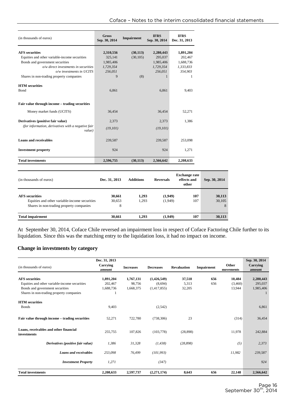| (in thousands of euros)                                      | <b>Gross</b><br>Sep. 30, 2014 | Impairment | <b>IFRS</b><br>Sep. 30, 2014 | <b>IFRS</b><br>Dec. 31, 2013 |
|--------------------------------------------------------------|-------------------------------|------------|------------------------------|------------------------------|
| <b>AFS</b> securities                                        | 2,310,556                     | (30, 113)  | 2,280,443                    | 1,891,204                    |
| Equities and other variable-income securities                | 325,141                       | (30, 105)  | 295,037                      | 202,467                      |
| Bonds and government securities                              | 1,985,406                     |            | 1,985,406                    | 1,688,736                    |
| o/w direct investments in securities                         | 1,729,354                     |            | 1,729,354                    | 1,333,833                    |
| o/w investments in UCITS                                     | 256,051                       |            | 256.051                      | 354.903                      |
| Shares in non-trading property companies                     | 9                             | (8)        | $\mathbf{1}$                 | 1                            |
| <b>HTM</b> securities                                        |                               |            |                              |                              |
| <b>B</b> ond                                                 | 6,861                         |            | 6,861                        | 9,403                        |
| Fair value through income - trading securities               |                               |            |                              |                              |
| Money market funds (UCITS)                                   | 36,454                        |            | 36.454                       | 52,271                       |
| Derivatives (positive fair value)                            | 2,373                         |            | 2,373                        | 1,386                        |
| (for information, derivatives with a negative fair<br>value) | (19, 101)                     |            | (19, 101)                    |                              |
| <b>Loans and receivables</b>                                 | 239,587                       |            | 239,587                      | 253,098                      |
| <b>Investment property</b>                                   | 924                           |            | 924                          | 1,271                        |
| <b>Total investments</b>                                     | 2,596,755                     | (30, 113)  | 2,566,642                    | 2,208,633                    |

| (in thousands of euros)                                                                                            | Dec. 31, 2013         | <b>Additions</b> | <b>Reversals</b>   | <b>Exchange rate</b><br>effects and<br>other | Sep. 30, 2014         |
|--------------------------------------------------------------------------------------------------------------------|-----------------------|------------------|--------------------|----------------------------------------------|-----------------------|
| <b>AFS</b> securities<br>Equities and other variable-income securities<br>Shares in non-trading property companies | 30,661<br>30.653<br>8 | 1.293<br>1.293   | (1,949)<br>(1,949) | 107<br>107                                   | 30,113<br>30,105<br>8 |
| <b>Total impairment</b>                                                                                            | 30.661                | 1.293            | (1.949)            | 107                                          | 30,113                |

At September 30, 2014, Coface Chile reversed an impairment loss in respect of Coface Factoring Chile further to its liquidation. Since this was the matching entry to the liquidation loss, it had no impact on income.

#### **Change in investments by category**

| (in thousands of euros)                               | Dec. 31, 2013<br>Carrying<br>amount | <b>Increases</b> | <b>Decreases</b> | <b>Revaluation</b> | Impairment | Other<br>movements | Sep. 30, 2014<br>Carrying<br>amount |
|-------------------------------------------------------|-------------------------------------|------------------|------------------|--------------------|------------|--------------------|-------------------------------------|
|                                                       |                                     |                  |                  |                    |            |                    |                                     |
| <b>AFS</b> securities                                 | 1,891,204                           | 1,767,131        | (1,426,549)      | 37,518             | 656        | 10,484             | 2,280,443                           |
| Equities and other variable-income securities         | 202,467                             | 98,756           | (8,694)          | 5,313              | 656        | (3,460)            | 295,037                             |
| Bonds and government securities                       | 1,688,736                           | 1,668,375        | (1,417,855)      | 32,205             |            | 13,944             | 1,985,406                           |
| Shares in non-trading property companies              |                                     |                  |                  |                    |            |                    |                                     |
| <b>HTM</b> securities                                 |                                     |                  |                  |                    |            |                    |                                     |
| <b>Bonds</b>                                          | 9,403                               |                  | (2,542)          |                    |            |                    | 6,861                               |
|                                                       |                                     |                  |                  |                    |            |                    |                                     |
| Fair value through income – trading securities        | 52,271                              | 722,780          | (738, 306)       | 23                 |            | (314)              | 36,454                              |
|                                                       |                                     |                  |                  |                    |            |                    |                                     |
| Loans, receivables and other financial<br>investments | 255,755                             | 107,826          | (103, 778)       | (28, 898)          |            | 11,978             | 242,884                             |
|                                                       |                                     |                  |                  |                    |            |                    |                                     |
| Derivatives (positive fair value)                     | 1,386                               | 31,328           | (1, 438)         | (28, 898)          |            | (5)                | 2,373                               |
| Loans and receivables                                 | 253,098                             | 76,499           | (101, 993)       |                    |            | 11,982             | 239,587                             |
|                                                       |                                     |                  |                  |                    |            |                    |                                     |
| <b>Investment Property</b>                            | 1,271                               |                  | (347)            |                    |            |                    | 924                                 |
| <b>Total investments</b>                              | 2,208,633                           | 2,597,737        | (2,271,174)      | 8,643              | 656        | 22,148             | 2,566,642                           |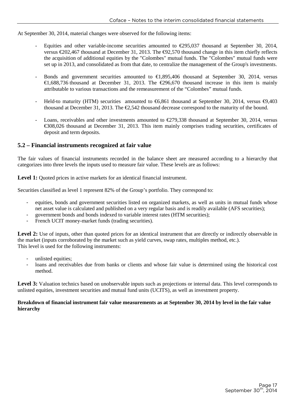At September 30, 2014, material changes were observed for the following items:

- Equities and other variable-income securities amounted to  $\epsilon$ 295,037 thousand at September 30, 2014, versus €202,467 thousand at December 31, 2013. The €92,570 thousand change in this item chiefly reflects the acquisition of additional equities by the "Colombes" mutual funds. The "Colombes" mutual funds were set up in 2013, and consolidated as from that date, to centralize the management of the Group's investments.
- Bonds and government securities amounted to  $\epsilon$ 1,895406 thousand at September 30, 2014, versus €1,688,736 thousand at December 31, 2013. The €296670 thousand increase in this item is mainly attributable to various transactions and the remeasurement of the "Colombes" mutual funds.
- Held-to maturity (HTM) securities amounted to  $\epsilon$ 6,861 thousand at September 30, 2014, versus  $\epsilon$ 9,403 thousand at December 31, 2013. The  $\epsilon$ 2,542 thousand decrease correspond to the maturity of the bound.
- Loans, receivables and other investments amounted to  $\epsilon$ 279,338 thousand at September 30, 2014, versus €308,026 thousand at December 31, 2013. This item mainly comprises trading securities, certificates of deposit and term deposits.

#### **5.2 – Financial instruments recognized at fair value**

The fair values of financial instruments recorded in the balance sheet are measured according to a hierarchy that categorizes into three levels the inputs used to measure fair value. These levels are as follows:

Level 1: Quoted prices in active markets for an identical financial instrument.

Securities classified as level 1 represent 82% of the Group's portfolio. They correspond to:

- equities, bonds and government securities listed on organized markets, as well as units in mutual funds whose net asset value is calculated and published on a very regular basis and is readily available (AFS securities);
- government bonds and bonds indexed to variable interest rates (HTM securities);
- French UCIT money-market funds (trading securities).

Level 2: Use of inputs, other than quoted prices for an identical instrument that are directly or indirectly observable in the market (inputs corroborated by the market such as yield curves, swap rates, multiples method, etc.). This level is used for the following instruments:

- unlisted equities;
- loans and receivables due from banks or clients and whose fair value is determined using the historical cost method.

Level 3: Valuation technics based on unobservable inputs such as projections or internal data. This level corresponds to unlisted equities, investment securities and mutual fund units (UCITS), as well as investment property.

#### **Breakdown of financial instrument fair value measurements as at September 30, 2014 by level in the fair value hierarchy**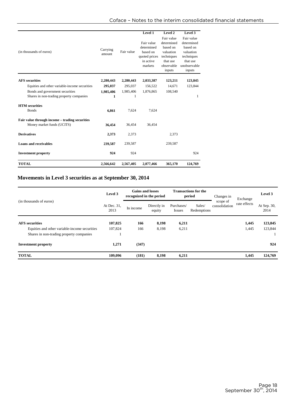|                                                                              |                    |            | Level 1                                                                       | Level 2                                                                                             | Level 3                                                                                               |
|------------------------------------------------------------------------------|--------------------|------------|-------------------------------------------------------------------------------|-----------------------------------------------------------------------------------------------------|-------------------------------------------------------------------------------------------------------|
| (in thousands of euros)                                                      | Carrying<br>amount | Fair value | Fair value<br>determined<br>based on<br>quoted prices<br>in active<br>markets | Fair value<br>determined<br>based on<br>valuation<br>techniques<br>that use<br>observable<br>inputs | Fair value<br>determined<br>based on<br>valuation<br>techniques<br>that use<br>unobservable<br>inputs |
| <b>AFS</b> securities                                                        | 2,280,443          | 2,280,443  | 2,033,387                                                                     | 123,211                                                                                             | 123,845                                                                                               |
| Equities and other variable-income securities                                | 295,037            | 295,037    | 156,522                                                                       | 14,671                                                                                              | 123,844                                                                                               |
| Bonds and government securities                                              | 1,985,406          | 1,985,406  | 1,876,865                                                                     | 108,540                                                                                             |                                                                                                       |
| Shares in non-trading property companies                                     | 1                  | 1          |                                                                               |                                                                                                     | 1                                                                                                     |
| <b>HTM</b> securities                                                        |                    |            |                                                                               |                                                                                                     |                                                                                                       |
| <b>Bonds</b>                                                                 | 6,861              | 7,624      | 7,624                                                                         |                                                                                                     |                                                                                                       |
| Fair value through income – trading securities<br>Money market funds (UCITS) | 36,454             | 36,454     | 36,454                                                                        |                                                                                                     |                                                                                                       |
| <b>Derivatives</b>                                                           | 2,373              | 2,373      |                                                                               | 2,373                                                                                               |                                                                                                       |
| <b>Loans and receivables</b>                                                 | 239,587            | 239,587    |                                                                               | 239,587                                                                                             |                                                                                                       |
| <b>Investment property</b>                                                   | 924                | 924        |                                                                               |                                                                                                     | 924                                                                                                   |
| <b>TOTAL</b>                                                                 | 2,566,642          | 2,567,405  | 2,077,466                                                                     | 365,170                                                                                             | 124,769                                                                                               |

### **Movements in Level 3 securities as at September 30, 2014**

| (in thousands of euros)                       | Level 3             | <b>Gains and losses</b><br>recognized in the period |                       |                             | <b>Transactions for the</b><br>period | Changes in                | Exchange     | Level 3             |
|-----------------------------------------------|---------------------|-----------------------------------------------------|-----------------------|-----------------------------|---------------------------------------|---------------------------|--------------|---------------------|
|                                               | At Dec. 31,<br>2013 | In income                                           | Directly in<br>equity | Purchases/<br><b>Issues</b> | Sales/<br>Redemptions                 | scope of<br>consolidation | rate effects | At Sep. 30,<br>2014 |
| <b>AFS</b> securities                         | 107,825             | 166                                                 | 8,198                 | 6,211                       |                                       |                           | 1,445        | 123,845             |
| Equities and other variable-income securities | 107,824             | 166                                                 | 8,198                 | 6,211                       |                                       |                           | 1,445        | 123,844             |
| Shares in non-trading property companies      |                     |                                                     |                       |                             |                                       |                           |              |                     |
| <b>Investment property</b>                    | 1,271               | (347)                                               |                       |                             |                                       |                           |              | 924                 |
| <b>TOTAL</b>                                  | 109,096             | (181)                                               | 8,198                 | 6,211                       |                                       |                           | 1,445        | 124,769             |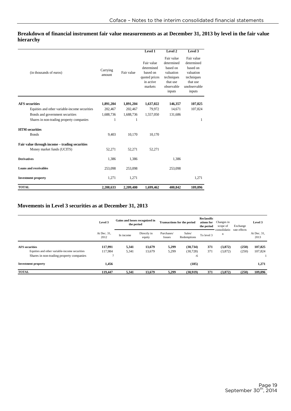**Breakdown of financial instrument fair value measurements as at December 31, 2013 by level in the fair value hierarchy** 

|                                                |                    |            | Level 1                                                                       | Level 2                                                                                             | Level 3                                                                                               |
|------------------------------------------------|--------------------|------------|-------------------------------------------------------------------------------|-----------------------------------------------------------------------------------------------------|-------------------------------------------------------------------------------------------------------|
| (in thousands of euros)                        | Carrying<br>amount | Fair value | Fair value<br>determined<br>based on<br>quoted prices<br>in active<br>markets | Fair value<br>determined<br>based on<br>valuation<br>techniques<br>that use<br>observable<br>inputs | Fair value<br>determined<br>based on<br>valuation<br>techniques<br>that use<br>unobservable<br>inputs |
| <b>AFS</b> securities                          | 1,891,204          | 1,891,204  | 1,637,022                                                                     | 146,357                                                                                             | 107,825                                                                                               |
| Equities and other variable-income securities  | 202,467            | 202,467    | 79,972                                                                        | 14,671                                                                                              | 107,824                                                                                               |
| Bonds and government securities                | 1,688,736          | 1,688,736  | 1,557,050                                                                     | 131,686                                                                                             |                                                                                                       |
| Shares in non-trading property companies       | 1                  | 1          |                                                                               |                                                                                                     | 1                                                                                                     |
| <b>HTM</b> securities                          |                    |            |                                                                               |                                                                                                     |                                                                                                       |
| <b>Bonds</b>                                   | 9,403              | 10,170     | 10,170                                                                        |                                                                                                     |                                                                                                       |
| Fair value through income - trading securities |                    |            |                                                                               |                                                                                                     |                                                                                                       |
| Money market funds (UCITS)                     | 52,271             | 52,271     | 52,271                                                                        |                                                                                                     |                                                                                                       |
| <b>Derivatives</b>                             | 1,386              | 1,386      |                                                                               | 1,386                                                                                               |                                                                                                       |
| <b>Loans and receivables</b>                   | 253,098            | 253,098    |                                                                               | 253,098                                                                                             |                                                                                                       |
| <b>Investment property</b>                     | 1,271              | 1,271      |                                                                               |                                                                                                     | 1,271                                                                                                 |
| <b>TOTAL</b>                                   | 2,208,633          | 2,209,400  | 1,699,462                                                                     | 400.842                                                                                             | 109,096                                                                                               |

### **Movements in Level 3 securities as at December 31, 2013**

|                                               | Level 3             | Gains and losses recognized in<br>the period |                       |                      | <b>Transactions for the period</b> | Reclassific<br>ations for<br>the period | Changes in<br>scope of      | Exchange     | Level 3             |
|-----------------------------------------------|---------------------|----------------------------------------------|-----------------------|----------------------|------------------------------------|-----------------------------------------|-----------------------------|--------------|---------------------|
|                                               | At Dec. 31.<br>2012 | In income                                    | Directly in<br>equity | Purchases/<br>Issues | Sales/<br>Redemptions              | To level 3                              | consolidatio<br>$\mathbf n$ | rate effects | At Dec. 31,<br>2013 |
| <b>AFS</b> securities                         | 117.991             | 5,341                                        | 13,679                | 5,299                | (30.734)                           | 371                                     | (3,872)                     | (250)        | 107,825             |
| Equities and other variable-income securities | 117.984             | 5,341                                        | 13,679                | 5,299                | (30, 728)                          | 371                                     | (3,872)                     | (250)        | 107,824             |
| Shares in non-trading property companies      | σ                   |                                              |                       |                      | -6                                 |                                         |                             |              |                     |
| <b>Investment property</b>                    | 1,456               |                                              |                       |                      | (185)                              |                                         |                             |              | 1,271               |
| <b>TOTAL</b>                                  | 119.447             | 5.341                                        | 13,679                | 5.299                | (30.919)                           | 371                                     | (3,872)                     | (250)        | 109,096             |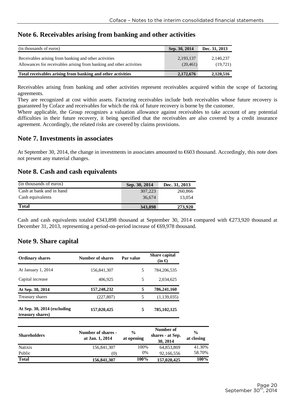### **Note 6. Receivables arising from banking and other activities**

| (in thousands of euros)                                                                                                       | Sep. 30, 2014          | Dec. 31, 2013         |
|-------------------------------------------------------------------------------------------------------------------------------|------------------------|-----------------------|
| Receivables arising from banking and other activities<br>Allowances for receivables arising from banking and other activities | 2,193,137<br>(20, 461) | 2.140.237<br>(19,721) |
| Total receivables arising from banking and other activities                                                                   | 2,172,676              | 2,120,516             |

Receivables arising from banking and other activities represent receivables acquired within the scope of factoring agreements.

They are recognized at cost within assets. Factoring receivables include both receivables whose future recovery is guaranteed by Coface and receivables for which the risk of future recovery is borne by the customer.

Where applicable, the Group recognizes a valuation allowance against receivables to take account of any potential difficulties in their future recovery, it being specified that the receivables are also covered by a credit insurance agreement. Accordingly, the related risks are covered by claims provisions.

### **Note 7. Investments in associates**

At September 30, 2014, the change in investments in associates amounted to €603 thousand. Accordingly, this note does not present any material changes.

### **Note 8. Cash and cash equivalents**

| (in thousands of euros)  | Sep. 30, 2014 | Dec. 31, 2013 |
|--------------------------|---------------|---------------|
| Cash at bank and in hand | 307.223       | 260,866       |
| Cash equivalents         | 36,674        | 13.054        |
| <b>Total</b>             | 343,898       | 273,920       |

Cash and cash equivalents totaled  $\epsilon$ 343,898 thousand at September 30, 2014 compared with  $\epsilon$ 273,920 thousand at December 31, 2013, representing a period-on-period increase of €69,978 thousand.

### **Note 9. Share capital**

| <b>Ordinary shares</b>                            | Number of shares | Par value | <b>Share capital</b><br>$(in \infty)$ |
|---------------------------------------------------|------------------|-----------|---------------------------------------|
| At January 1, 2014                                | 156,841,307      | 5         | 784,206,535                           |
| Capital increase                                  | 406.925          | 5         | 2.034.625                             |
| At Sep. 30, 2014                                  | 157,248,232      | 5         | 786,241,160                           |
| Treasury shares                                   | (227, 807)       | 5         | (1,139,035)                           |
| At Sep. $30, 2014$ (excluding<br>treasury shares) | 157,020,425      | 5         | 785, 102, 125                         |

| <b>Shareholders</b> | Number of shares -<br>at Jan. 1, 2014 | $\frac{6}{9}$<br>at opening | Number of<br>shares - at Sep.<br>30, 2014 | $\frac{0}{0}$<br>at closing |
|---------------------|---------------------------------------|-----------------------------|-------------------------------------------|-----------------------------|
| <b>Natixis</b>      | 156,841,307                           | 100%                        | 64,853,869                                | 41.30%                      |
| Public              | (0)                                   | 0%                          | 92,166,556                                | 58.70%                      |
| <b>Total</b>        | 156,841,307                           | 100%                        | 157,020,425                               | 100%                        |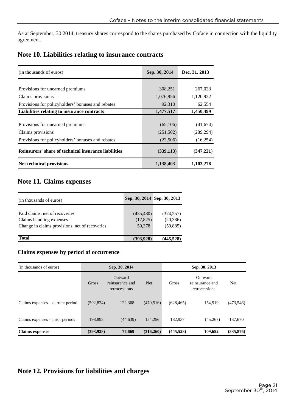As at September, 30 2014, treasury shares correspond to the shares purchased by Coface in connection with the liquidity agreement.

### **Note 10. Liabilities relating to insurance contracts**

| (in thousands of euros)                              | Sep. 30, 2014 | Dec. 31, 2013 |
|------------------------------------------------------|---------------|---------------|
|                                                      |               |               |
| Provisions for unearned premiums                     | 308,251       | 267,023       |
| Claims provisions                                    | 1,076,956     | 1,120,922     |
| Provisions for policyholders' bonuses and rebates    | 92,310        | 62,554        |
| Liabilities relating to insurance contracts          | 1,477,517     | 1,450,499     |
|                                                      |               |               |
| Provisions for unearned premiums                     | (65,106)      | (41,674)      |
| Claims provisions                                    | (251,502)     | (289, 294)    |
| Provisions for policyholders' bonuses and rebates    | (22,506)      | (16,254)      |
| Reinsurers' share of technical insurance liabilities | (339, 113)    | (347,221)     |
| Net technical provisions                             | 1,138,403     | 1,103,278     |

# **Note 11. Claims expenses**

| (in thousands of euros)                        |            | Sep. 30, 2014 Sep. 30, 2013 |
|------------------------------------------------|------------|-----------------------------|
|                                                |            |                             |
| Paid claims, net of recoveries                 | (435, 480) | (374, 257)                  |
| Claims handling expenses                       | (17, 825)  | (20, 386)                   |
| Change in claims provisions, net of recoveries | 59,378     | (50, 885)                   |
|                                                |            |                             |
| <b>Total</b>                                   | (393, 928) | (445, 528)                  |

### **Claims expenses by period of occurrence**

| (in thousands of euros)          | Sep. 30, 2014 |                                             |            |              | Sep. 30, 2013                               |            |
|----------------------------------|---------------|---------------------------------------------|------------|--------------|---------------------------------------------|------------|
|                                  | Gross         | Outward<br>reinsurance and<br>retrocessions | <b>Net</b> | <b>Gross</b> | Outward<br>reinsurance and<br>retrocessions | Net        |
| Claims expenses – current period | (592, 824)    | 122,308                                     | (470, 516) | (628, 465)   | 154.919                                     | (473,546)  |
| Claims expenses - prior periods  | 198,895       | (44, 639)                                   | 154,256    | 182,937      | (45,267)                                    | 137,670    |
| <b>Claims expenses</b>           | (393, 928)    | 77,669                                      | (316,260)  | (445, 528)   | 109,652                                     | (335, 876) |

# **Note 12. Provisions for liabilities and charges**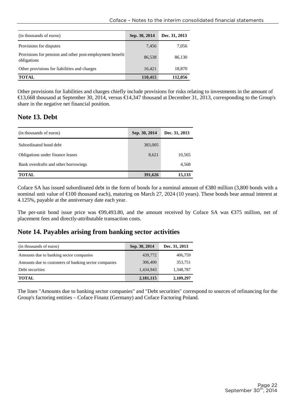| (in thousands of euros)                                                 | Sep. 30, 2014 | Dec. 31, 2013 |
|-------------------------------------------------------------------------|---------------|---------------|
| Provisions for disputes                                                 | 7.456         | 7,056         |
| Provisions for pension and other post-employment benefit<br>obligations | 86,538        | 86.130        |
| Other provisions for liabilities and charges                            | 16.421        | 18,870        |
| <b>TOTAL</b>                                                            | 110,415       | 112,056       |

Other provisions for liabilities and charges chiefly include provisions for risks relating to investments in the amount of €13,668 thousand at September 30, 2014, versus €14347 thousand at December 31, 2013, corresponding to the Group's share in the negative net financial position.

# **Note 13. Debt**

| (in thousands of euros)              | Sep. 30, 2014 | Dec. 31, 2013 |
|--------------------------------------|---------------|---------------|
| Subordinated bond debt               | 383,005       |               |
| Obligations under finance leases     | 8,621         | 10,565        |
| Bank overdrafts and other borrowings |               | 4,568         |
| <b>TOTAL</b>                         | 391,626       | 15,133        |

Coface SA has issued subordinated debt in the form of bonds for a nominal amount of  $\epsilon$ 380 million (3,800 bonds with a nominal unit value of  $\epsilon$ 100 thousand each), maturing on March 27, 2024 (10 years). These bonds bear annual interest at 4.125%, payable at the anniversary date each year.

The per-unit bond issue price was €99,493.80, and the amount received by Coface SA was €375 million, net of placement fees and directly-attributable transaction costs.

### **Note 14. Payables arising from banking sector activities**

| (in thousands of euros)                              | Sep. 30, 2014 | Dec. 31, 2013 |
|------------------------------------------------------|---------------|---------------|
| Amounts due to banking sector companies              | 439,772       | 406,759       |
| Amounts due to customers of banking sector companies | 306,400       | 353,751       |
| Debt securities                                      | 1,434,943     | 1,348,787     |
| <b>TOTAL</b>                                         | 2,181,115     | 2,109,297     |

The lines "Amounts due to banking sector companies" and "Debt securities" correspond to sources of refinancing for the Group's factoring entities – Coface Finanz (Germany) and Coface Factoring Poland.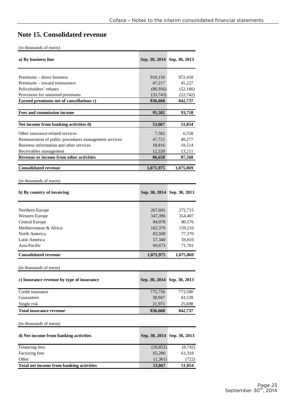# **Note 15. Consolidated revenue**

| a) By business line                                   |                    | Sep. 30, 2014 Sep. 30, 2013 |  |  |  |  |
|-------------------------------------------------------|--------------------|-----------------------------|--|--|--|--|
| Premiums – direct business                            | 910,150            | 872,418                     |  |  |  |  |
| Premiums – inward reinsurance                         | 47,217             | 45,227                      |  |  |  |  |
| Policyholders' rebates                                | (86,956)           | (52, 166)                   |  |  |  |  |
| Provisions for unearned premiums                      | (33,743)           | (22, 742)                   |  |  |  |  |
| Earned premiums net of cancellations c)               | 836,668            | 842,737                     |  |  |  |  |
| Fees and commission income                            | 95,582             | 93,718                      |  |  |  |  |
| Net income from banking activities d)                 | 53,067             | 51,854                      |  |  |  |  |
| Other insurance-related services                      | 7,582              | 6,558                       |  |  |  |  |
| Remuneration of public procedures management services | 47,721             | 49,277                      |  |  |  |  |
| Business information and other services               | 18,816             | 18,514                      |  |  |  |  |
| Receivables management                                | 12,539             | 13,211                      |  |  |  |  |
| Revenue or income from other activities               | 86,658             | 87,560                      |  |  |  |  |
| <b>Consolidated revenue</b>                           | 1,071,975          | 1,075,869                   |  |  |  |  |
|                                                       |                    |                             |  |  |  |  |
| (in thousands of euros)                               |                    |                             |  |  |  |  |
| b) By country of invoicing                            |                    | Sep. 30, 2014 Sep. 30, 2013 |  |  |  |  |
|                                                       |                    | 272,715                     |  |  |  |  |
| Northern Europe<br>Western Europe                     | 267,601<br>347,396 | 354,407                     |  |  |  |  |
| Central Europe                                        | 84,078             | 80,576                      |  |  |  |  |
| Mediterranean & Africa                                | 162,379            | 159,210                     |  |  |  |  |
| North America                                         | 83,508             | 77,370                      |  |  |  |  |
| Latin America                                         | 57,340             | 59,810                      |  |  |  |  |
| Asia-Pacific                                          | 69,673             | 71,781                      |  |  |  |  |
| <b>Consolidated revenue</b>                           | 1,071,975          | 1,075,869                   |  |  |  |  |
|                                                       |                    |                             |  |  |  |  |
| (in thousands of euros)                               |                    |                             |  |  |  |  |
| c) Insurance revenue by type of insurance             | Sep. 30, 2014      | Sep. 30, 2013               |  |  |  |  |
| Credit insurance                                      | 775,750            | 773,500                     |  |  |  |  |
| Guarantees                                            | 38,947             | 43,539                      |  |  |  |  |
| Single risk                                           | 21,971             | 25,698                      |  |  |  |  |
| <b>Total insurance revenue</b>                        | 836,668            | 842,737                     |  |  |  |  |
| (in thousands of euros)                               |                    |                             |  |  |  |  |
| d) Net income from banking activities                 | Sep. 30, 2014      | Sep. 30, 2013               |  |  |  |  |
| Financing fees                                        | (10, 852)          | (8, 742)                    |  |  |  |  |
| Factoring fees                                        | 65,280             | 61,318                      |  |  |  |  |
| Other                                                 | (1, 361)           | (722)                       |  |  |  |  |
| Total net income from banking activities              | 53,067             | 51,854                      |  |  |  |  |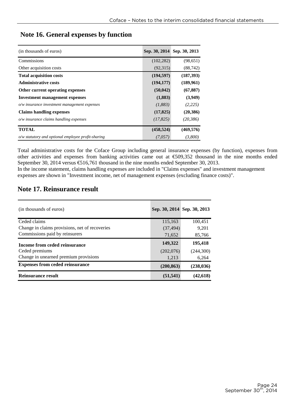| (in thousands of euros)                            |            | Sep. 30, 2014 Sep. 30, 2013 |
|----------------------------------------------------|------------|-----------------------------|
| Commissions                                        | (102, 282) | (98, 651)                   |
| Other acquisition costs                            | (92,315)   | (88, 742)                   |
| <b>Total acquisition costs</b>                     | (194, 597) | (187, 393)                  |
| <b>Administrative costs</b>                        | (194, 177) | (189,961)                   |
| Other current operating expenses                   | (50, 042)  | (67, 887)                   |
| <b>Investment management expenses</b>              | (1,883)    | (3,949)                     |
| o/w insurance investment management expenses       | (1,883)    | (2,225)                     |
| <b>Claims handling expenses</b>                    | (17, 825)  | (20, 386)                   |
| $o/w$ insurance claims handling expenses           | (17, 825)  | (20,386)                    |
| <b>TOTAL</b>                                       | (458, 524) | (469, 576)                  |
| o/w statutory and optional employee profit-sharing | (7.057)    | (3,800)                     |

### **Note 16. General expenses by function**

Total administrative costs for the Coface Group including general insurance expenses (by function), expenses from other activities and expenses from banking activities came out at €509,352 thousand in the nine months ended September 30, 2014 versus  $\epsilon$ 516,761 thousand in the nine months ended September 30, 2013.

In the income statement, claims handling expenses are included in "Claims expenses" and investment management expenses are shown in "Investment income, net of management expenses (excluding finance costs)".

## **Note 17. Reinsurance result**

| (in thousands of euros)                        |            | Sep. 30, 2014 Sep. 30, 2013 |
|------------------------------------------------|------------|-----------------------------|
| Ceded claims                                   | 115,163    | 100.451                     |
| Change in claims provisions, net of recoveries | (37, 494)  | 9.201                       |
| Commissions paid by reinsurers                 | 71,652     | 85,766                      |
| Income from ceded reinsurance                  | 149,322    | 195.418                     |
| Ceded premiums                                 | (202,076)  | (244,300)                   |
| Change in unearned premium provisions          | 1,213      | 6,264                       |
| <b>Expenses from ceded reinsurance</b>         | (200, 863) | (238, 036)                  |
| Reinsurance result                             | (51, 541)  | (42, 618)                   |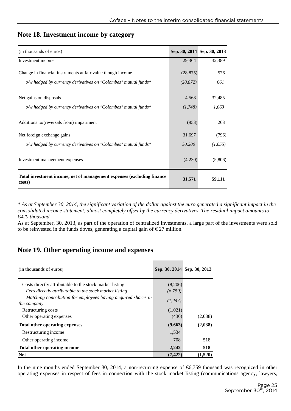| (in thousands of euros)                                                                    |                  | Sep. 30, 2014 Sep. 30, 2013 |
|--------------------------------------------------------------------------------------------|------------------|-----------------------------|
| Investment income                                                                          | 29,364           | 32,389                      |
| Change in financial instruments at fair value though income                                | (28, 875)        | 576                         |
| o/w hedged by currency derivatives on "Colombes" mutual funds*                             | (28, 872)        | 661                         |
| Net gains on disposals<br>$o/w$ hedged by currency derivatives on "Colombes" mutual funds* | 4,568<br>(1,748) | 32,485<br>1,063             |
| Additions to/(reversals from) impairment                                                   | (953)            | 263                         |
| Net foreign exchange gains                                                                 | 31,697           | (796)                       |
| $o/w$ hedged by currency derivatives on "Colombes" mutual funds*                           | 30,200           | (1,655)                     |
| Investment management expenses                                                             | (4,230)          | (5,806)                     |
| Total investment income, net of management expenses (excluding finance<br>costs)           | 31,571           | 59,111                      |

### **Note 18. Investment income by category**

*\* As at September 30, 2014, the significant variation of the dollar against the euro generated a significant impact in the consolidated income statement, almost completely offset by the currency derivatives. The residual impact amounts to €420 thousand.* 

As at September, 30, 2013, as part of the operation of centralized investments, a large part of the investments were sold to be reinvested in the funds doves, generating a capital gain of  $\epsilon$  27 million.

### **Note 19. Other operating income and expenses**

| (in thousands of euros)                                                      |          | Sep. 30, 2014 Sep. 30, 2013 |
|------------------------------------------------------------------------------|----------|-----------------------------|
| Costs directly attributable to the stock market listing                      | (8,206)  |                             |
| Fees directly attributable to the stock market listing                       | (6,759)  |                             |
| Matching contribution for employees having acquired shares in<br>the company | (1, 447) |                             |
| Retructuring costs                                                           | (1,021)  |                             |
| Other operating expenses                                                     | (436)    | (2,038)                     |
| Total other operating expenses                                               | (9,663)  | (2,038)                     |
| Restructuring income                                                         | 1,534    |                             |
| Other operating income.                                                      | 708      | 518                         |
| Total other operating income                                                 | 2,242    | 518                         |
| <b>Net</b>                                                                   | (7,422   | (1,520)                     |

In the nine months ended September 30, 2014, a non-recurring expense of  $\epsilon$ 6,759 thousand was recognized in other operating expenses in respect of fees in connection with the stock market listing (communications agency, lawyers,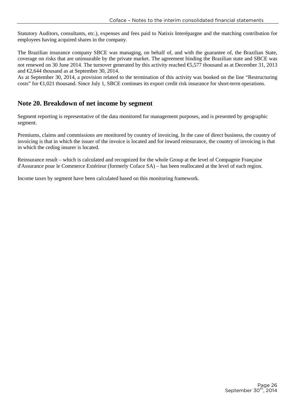Statutory Auditors, consultants, etc.), expenses and fees paid to Natixis Interépargne and the matching contribution for employees having acquired shares in the company.

The Brazilian insurance company SBCE was managing, on behalf of, and with the guarantee of, the Brazilian State, coverage on risks that are uninsurable by the private market. The agreement binding the Brazilian state and SBCE was not renewed on 30 June 2014. The turnover generated by this activity reached €5,577 thousand as at December 31, 2013 and €2,644 thousand as at September 30, 2014.

As at September 30, 2014, a provision related to the termination of this activity was booked on the line "Restructuring costs" for  $\epsilon$ 1,021 thousand. Since July 1, SBCE continues its export credit risk insurance for short-term operations.

### **Note 20. Breakdown of net income by segment**

Segment reporting is representative of the data monitored for management purposes, and is presented by geographic segment.

Premiums, claims and commissions are monitored by country of invoicing. In the case of direct business, the country of invoicing is that in which the issuer of the invoice is located and for inward reinsurance, the country of invoicing is that in which the ceding insurer is located.

Reinsurance result – which is calculated and recognized for the whole Group at the level of Compagnie Française d'Assurance pour le Commerce Extérieur (formerly Coface SA) – has been reallocated at the level of each region.

Income taxes by segment have been calculated based on this monitoring framework.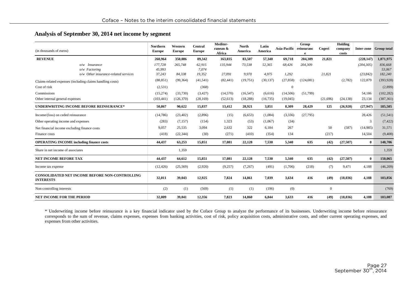#### **Analysis of September 30, 2014 net income by segment**

| (in thousands of euros)                                            | <b>Northern</b><br><b>Europe</b> | Western<br><b>Europe</b> | Central<br><b>Europe</b> | Mediter-<br>ranean &<br>Africa | <b>North</b><br>America | Latin<br>America | Asia-Pacific reinsuranc | Group<br>e | Cogeri         | Holding<br>company<br>costs |              | Inter-zone Group total |
|--------------------------------------------------------------------|----------------------------------|--------------------------|--------------------------|--------------------------------|-------------------------|------------------|-------------------------|------------|----------------|-----------------------------|--------------|------------------------|
| <b>REVENUE</b>                                                     | 260,964                          | 350,086                  | 89,342                   | 163,035                        | 83,507                  | 57,340           | 69,718                  | 204,309    | 21,821         |                             | (228, 147)   | 1,071,975              |
| o/w Insurance                                                      | 177,728                          | 265,748                  | 62.915                   | 135.944                        | 73,538                  | 52,365           | 68,426                  | 204,309    |                |                             | (204, 305)   | 836,668                |
| $o/w$ Factoring                                                    | 45,993                           |                          | 7,074                    |                                |                         |                  |                         |            |                |                             |              | 53,067                 |
| o/w Other insurance-related services                               | 37,243                           | 84,338                   | 19,352                   | 27,091                         | 9,970                   | 4,975            | 1.292                   |            | 21.821         |                             | (23, 842)    | 182,240                |
| Claims-related expenses (including claims handling costs)          | (88, 851)                        | (99, 364)                | (41, 541)                | (82, 441)                      | (19,751)                | (30, 137)        | (27, 858)               | (124,081)  |                | (2,782)                     | 122,879      | (393, 928)             |
| Cost of risk                                                       | (2,531)                          |                          | (368)                    |                                |                         |                  | $\Omega$                |            |                |                             |              | (2,899)                |
| Commissions                                                        | (15,274)                         | (33,730)                 | (3, 427)                 | (14,570)                       | (16, 547)               | (6,616)          | (14,506)                | (51,799)   |                |                             | 54,186       | (102, 282)             |
| Other internal general expenses                                    | (103, 441)                       | (126, 370)               | (28, 169)                | (52, 613)                      | (18, 288)               | (16, 735)        | (19,045)                |            | (21,696)       | (24, 138)                   | 23,134       | (387, 361)             |
| <b>UNDERWRITING INCOME BEFORE REINSURANCE*</b>                     | 50,867                           | 90,622                   | 15,837                   | 13,412                         | 28,921                  | 3,851            | 8,309                   | 28,429     | 125            | (26,920)                    | (27,947)     | 185,505                |
| Income/(loss) on ceded reinsurance                                 | (14,786)                         | (23, 402)                | (2,896)                  | (15)                           | (6,653)                 | (1,084)          | (3,336)                 | (27,795)   |                |                             | 28,426       | (51, 541)              |
| Other operating income and expenses                                | (283)                            | (7,157)                  | (154)                    | 1,323                          | (53)                    | (1,067)          | (34)                    |            |                |                             | 3            | (7, 422)               |
| Net financial income excluding finance costs                       | 9,057                            | 25,535                   | 3.094                    | 2,632                          | 322                     | 6.184            | 267                     |            | 50             | (587)                       | (14,985)     | 31,571                 |
| Finance costs                                                      | (418)                            | (22, 344)                | (30)                     | (271)                          | (410)                   | (354)            | 134                     |            | (217)          |                             | 14,504       | (9,408)                |
| <b>OPERATING INCOME including finance costs</b>                    | 44,437                           | 63,253                   | 15,851                   | 17,081                         | 22,128                  | 7,530            | 5,340                   | 635        | (42)           | (27,507)                    | $\mathbf{0}$ | 148,706                |
| Share in net income of associates                                  |                                  | 1,359                    |                          |                                |                         |                  |                         |            |                |                             |              | 1,359                  |
| NET INCOME BEFORE TAX                                              | 44,437                           | 64,612                   | 15,851                   | 17,081                         | 22,128                  | 7,530            | 5,340                   | 635        | (42)           | (27,507)                    | $\mathbf{0}$ | 150,065                |
| Income tax expense                                                 | (12, 426)                        | (25, 569)                | (2,926)                  | (9,257)                        | (7,267)                 | (491)            | (1,706)                 | (218)      | (7)            | 9,471                       | 4.188        | (46,209)               |
| CONSOLIDATED NET INCOME BEFORE NON-CONTROLLING<br><b>INTERESTS</b> | 32,011                           | 39,043                   | 12,925                   | 7,824                          | 14,861                  | 7,039            | 3,634                   | 416        | (49)           | (18,036)                    | 4,188        | 103,856                |
| Non-controlling interests                                          | (2)                              | (1)                      | (569)                    | (1)                            | (1)                     | (196)            | (0)                     |            | $\overline{0}$ |                             |              | (769)                  |
| <b>NET INCOME FOR THE PERIOD</b>                                   | 32,009                           | 39,041                   | 12,356                   | 7,823                          | 14,860                  | 6,844            | 3,633                   | 416        | (49)           | (18,036)                    | 4,188        | 103,087                |

\* Underwriting income before reinsurance is a key financial indicator used by the Coface Group to analyze the performance of its businesses. Underwriting income before reinsurance corresponds to the sum of revenue, claims expenses, expenses from banking activities, cost of risk, policy acquisition costs, administrative costs, and other current operating expenses, and expenses from other activities.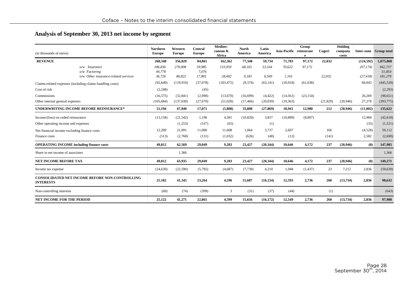#### **Analysis of September 30, 2013 net income by segment**

| (in thousands of euros)                                                   | Northern<br><b>Europe</b> | Western<br><b>Europe</b> | Central<br><b>Europe</b> | Mediter-<br>ranean &<br>Africa | <b>North</b><br>America | Latin<br>America | Asia-Pacific reinsuranc | Group<br>e | Cogeri    | Holding<br>company<br>costs |            | Inter-zone Group total |
|---------------------------------------------------------------------------|---------------------------|--------------------------|--------------------------|--------------------------------|-------------------------|------------------|-------------------------|------------|-----------|-----------------------------|------------|------------------------|
| <b>REVENUE</b>                                                            | 268,340                   | 356,829                  | 84,861                   | 162,362                        | 77,348                  | 59,734           | 71,783                  | 97,172     | 22,032    |                             | (124, 592) | 1,075,868              |
| O/W<br><i>Insurance</i>                                                   | 186,836                   | 270,008                  | 59.985                   | 133,959                        | 68,165                  | 53,164           | 70,622                  | 97,172     |           |                             | (97, 174)  | 842,737                |
| o/w Factoring                                                             | 44,778                    |                          | 7.076                    |                                |                         |                  |                         |            |           |                             |            | 51,854                 |
| o/w Other insurance-related services                                      | 36,726                    | 86.822                   | 17,801                   | 28,402                         | 9,183                   | 6,569            | 1,161                   |            | 22.032    |                             | (27, 418)  | 181,278                |
| Claims-related expenses (including claims handling costs)                 | (92, 640)                 | (119,910)                | (37,078)                 | (103, 472)                     | (9,374)                 | (63, 141)        | (18,918)                | (61,038)   |           |                             | 60,043     | (445, 528)             |
| Cost of risk                                                              | (2,248)                   |                          | (45)                     |                                |                         |                  |                         |            |           |                             |            | (2,293)                |
| Commissions                                                               | (16, 575)                 | (32, 841)                | (2,998)                  | (13,670)                       | (16,699)                | (4, 422)         | (14, 561)               | (23, 154)  |           |                             | 26,269     | (98, 651)              |
| Other internal general expenses                                           | (105, 684)                | (137,038)                | (27,670)                 | (51,028)                       | (17, 466)               | (20,039)         | (19,363)                |            | (21, 820) | (20, 946)                   | 27,278     | (393,775)              |
| <b>UNDERWRITING INCOME BEFORE REINSURANCE*</b>                            | 51,194                    | 67,040                   | 17,071                   | (5,808)                        | 33,808                  | (27, 869)        | 18,941                  | 12,980     | 212       | (20, 946)                   | (11,002)   | 135,622                |
| Income/(loss) on ceded reinsurance                                        | (13, 158)                 | (21, 542)                | 1.196                    | 4,581                          | (10, 820)               | 3,837            | (10, 889)               | (8,807)    |           |                             | 12,984     | (42, 618)              |
| Other operating income and expenses                                       |                           | (1,253)                  | (167)                    | (65)                           |                         | (1)              |                         |            |           |                             | (35)       | (1,521)                |
| Net financial income excluding finance costs                              | 12,289                    | 21,091                   | 11.080                   | 11,608                         | 1.064                   | 3.737            | 2.607                   |            | 166       |                             | (4,528)    | 59,112                 |
| Finance costs                                                             | (513)                     | (2,768)                  | (131)                    | (1,032)                        | (626)                   | (48)             | (12)                    |            | (141)     |                             | 2,582      | (2,690)                |
| <b>OPERATING INCOME including finance costs</b>                           | 49,812                    | 62,569                   | 29,049                   | 9,283                          | 23,427                  | (20, 344)        | 10,646                  | 4,172      | 237       | (20, 946)                   | (0)        | 147,905                |
| Share in net income of associates                                         |                           | 1,366                    |                          |                                |                         |                  |                         |            |           |                             |            | 1,366                  |
| NET INCOME BEFORE TAX                                                     | 49,812                    | 63,935                   | 29,049                   | 9,283                          | 23,427                  | (20, 344)        | 10,646                  | 4,172      | 237       | (20, 946)                   | (0)        | 149,271                |
| Income tax expense                                                        | (24, 630)                 | (22, 590)                | (5,785)                  | (4,687)                        | (7, 739)                | 4,210            | 1,948                   | (1, 437)   | 23        | 7,212                       | 2,836      | (50, 639)              |
| <b>CONSOLIDATED NET INCOME BEFORE NON-CONTROLLING</b><br><b>INTERESTS</b> | 25,182                    | 41,345                   | 23,264                   | 4,596                          | 15,687                  | (16, 134)        | 12,593                  | 2,736      | 260       | (13,734)                    | 2,836      | 98,632                 |
| Non-controlling interests                                                 | (60)                      | (74)                     | (399)                    | 3                              | (31)                    | (37)             | (44)                    |            | (1)       |                             |            | (643)                  |
| <b>NET INCOME FOR THE PERIOD</b>                                          | 25,122                    | 41,271                   | 22,865                   | 4,599                          | 15,656                  | (16, 172)        | 12,549                  | 2,736      | 260       | (13,734)                    | 2,836      | 97,988                 |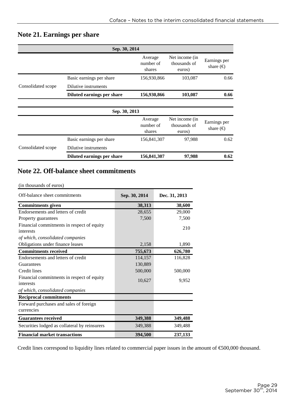# **Note 21. Earnings per share**

|                    | Sep. 30, 2014              |                                |                                          |                                    |
|--------------------|----------------------------|--------------------------------|------------------------------------------|------------------------------------|
|                    |                            | Average<br>number of<br>shares | Net income (in<br>thousands of<br>euros) | Earnings per<br>share $(\epsilon)$ |
|                    | Basic earnings per share   | 156,930,866                    | 103,087                                  | 0.66                               |
| Consolidated scope | Dilutive instruments       |                                |                                          |                                    |
|                    | Diluted earnings per share | 156,930,866                    | 103,087                                  | 0.66                               |
|                    | Sep. 30, 2013              |                                |                                          |                                    |
|                    |                            | Average<br>number of<br>shares | Net income (in<br>thousands of<br>euros) | Earnings per<br>share $(\epsilon)$ |
|                    | Basic earnings per share   | 156,841,307                    | 97,988                                   | 0.62                               |
| Consolidated scope | Dilutive instruments       |                                |                                          |                                    |
|                    | Diluted earnings per share | 156,841,307                    | 97,988                                   | 0.62                               |

### **Note 22. Off-balance sheet commitments**

#### (in thousands of euros)

| Off-balance sheet commitments                 | Sep. 30, 2014 | Dec. 31, 2013 |
|-----------------------------------------------|---------------|---------------|
| <b>Commitments given</b>                      | 38,313        | 38,600        |
| Endorsements and letters of credit            | 28,655        | 29,000        |
| Property guarantees                           | 7,500         | 7,500         |
| Financial commitments in respect of equity    |               | 210           |
| interests                                     |               |               |
| of which, consolidated companies              |               |               |
| Obligations under finance leases              | 2,158         | 1,890         |
| <b>Commitments received</b>                   | 755,673       | 626,780       |
| Endorsements and letters of credit            | 114,157       | 116,828       |
| Guarantees                                    | 130,889       |               |
| Credit lines                                  | 500,000       | 500,000       |
| Financial commitments in respect of equity    |               |               |
| interests                                     | 10,627        | 9,952         |
| of which, consolidated companies              |               |               |
| <b>Reciprocal commitments</b>                 |               |               |
| Forward purchases and sales of foreign        |               |               |
| currencies                                    |               |               |
| <b>Guarantees received</b>                    | 349,388       | 349,488       |
| Securities lodged as collateral by reinsurers | 349,388       | 349,488       |
| <b>Financial market transactions</b>          | 394,500       | 237,133       |

Credit lines correspond to liquidity lines related to commercial paper issues in the amount of €500,000 thousand.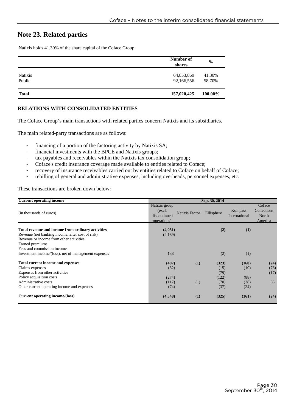# **Note 23. Related parties**

Natixis holds 41.30% of the share capital of the Coface Group

|                          | Number of<br>shares      | $\frac{0}{0}$    |
|--------------------------|--------------------------|------------------|
| <b>Natixis</b><br>Public | 64,853,869<br>92,166,556 | 41.30%<br>58.70% |
| <b>Total</b>             | 157,020,425              | 100.00%          |

#### **RELATIONS WITH CONSOLIDATED ENTITIES**

The Coface Group's main transactions with related parties concern Natixis and its subsidiaries.

The main related-party transactions are as follows:

- financing of a portion of the factoring activity by Natixis SA;
- financial investments with the BPCE and Natixis groups;
- tax payables and receivables within the Natixis tax consolidation group;
- Coface's credit insurance coverage made available to entities related to Coface;
- recovery of insurance receivables carried out by entities related to Coface on behalf of Coface;
- rebilling of general and administrative expenses, including overheads, personnel expenses, etc.

These transactions are broken down below:

| <b>Current operating income</b>                                                                                                                                     | Sep. 30, 2014                                           |                       |                       |                          |                                           |  |  |  |
|---------------------------------------------------------------------------------------------------------------------------------------------------------------------|---------------------------------------------------------|-----------------------|-----------------------|--------------------------|-------------------------------------------|--|--|--|
| (in thousands of euros)                                                                                                                                             | Natixis group<br>(excl.)<br>discontinued<br>operations) | <b>Natixis Factor</b> | Ellisphere            | Kompass<br>International | Coface<br>Collections<br>North<br>America |  |  |  |
| Total revenue and income from ordinary activities<br>Revenue (net banking income, after cost of risk)<br>Revenue or income from other activities<br>Earned premiums | (4,051)<br>(4,189)                                      |                       | (2)                   | (1)                      |                                           |  |  |  |
| Fees and commission income<br>Investment income/(loss), net of management expenses                                                                                  | 138                                                     |                       | (2)                   | (1)                      |                                           |  |  |  |
| <b>Total current income and expenses</b><br>Claims expenses<br>Expenses from other activities                                                                       | (497)<br>(32)                                           | (1)                   | (323)<br>(15)<br>(79) | (160)<br>(10)            | (24)<br>(73)<br>(17)                      |  |  |  |
| Policy acquisition costs<br>Administrative costs<br>Other current operating income and expenses                                                                     | (274)<br>(117)<br>(74)                                  | (1)                   | (122)<br>(70)<br>(37) | (88)<br>(38)<br>(24)     | 66                                        |  |  |  |
| Current operating income/(loss)                                                                                                                                     | (4,548)                                                 | (1)                   | (325)                 | (161)                    | (24)                                      |  |  |  |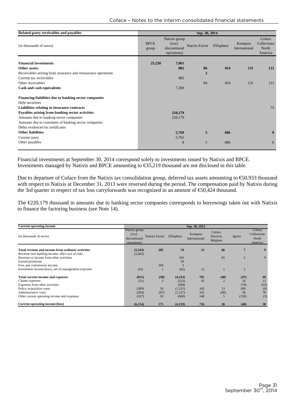| Related-party receivables and payables                        | Sep. 30, 2014        |                                                         |                |            |                          |                                           |
|---------------------------------------------------------------|----------------------|---------------------------------------------------------|----------------|------------|--------------------------|-------------------------------------------|
| (in thousands of euros)                                       | <b>BPCE</b><br>group | Natixis group<br>(excl.)<br>discontinued<br>operations) | Natixis Factor | Ellisphere | Kompass<br>International | Coface<br>Collections<br>North<br>America |
| <b>Financial investments</b>                                  | 25,230               | 7,061                                                   |                |            |                          |                                           |
| Other assets                                                  |                      | 882                                                     | 86             | 454        | 131                      | 111                                       |
| Receivables arising from insurance and reinsurance operations |                      |                                                         | $\overline{2}$ |            |                          |                                           |
| Current tax receivables                                       |                      | 882                                                     |                |            |                          |                                           |
| Other receivables                                             |                      |                                                         | 84             | 454        | 131                      | 111                                       |
| Cash and cash equivalents                                     |                      | 7,369                                                   |                |            |                          |                                           |
| Financing liabilities due to banking sector companies         |                      |                                                         |                |            |                          |                                           |
| Debt securities                                               |                      |                                                         |                |            |                          |                                           |
| Liabilities relating to insurance contracts                   |                      |                                                         |                |            |                          | 73                                        |
| Payables arising from banking sector activities               |                      | 220,179                                                 |                |            |                          |                                           |
| Amounts due to banking sector companies                       |                      | 220,179                                                 |                |            |                          |                                           |
| Amounts due to customers of banking sector companies          |                      |                                                         |                |            |                          |                                           |
| Debts evidenced by certificates                               |                      |                                                         |                |            |                          |                                           |
| <b>Other liabilities</b>                                      |                      | 5,769                                                   | 5              | 686        |                          | $\mathbf{0}$                              |
| Current taxes                                                 |                      | 5,761                                                   |                |            |                          |                                           |
| Other payables                                                |                      | 8                                                       | 5              | 686        |                          | $\mathbf{0}$                              |
|                                                               |                      |                                                         |                |            |                          |                                           |

Financial investments at September 30, 2014 correspond solely to investments issued by Natixis and BPCE. Investments managed by Natixis and BPCE amounting to €35,219 thousand are not disclosed in this table.

Due to departure of Coface from the Natixis tax consolidation group, deferred tax assets amounting to €50,933 thousand with respect to Natixis at December 31, 2013 were reversed during the period. The compensation paid by Natixis during the 3rd quarter in respect of tax loss carryforwards was recognized in an amount of €50,424 thousand.

The €220,179 thousand in amounts due to banking sector companies corresponds to borrowings taken out with Natixis to finance the factoring business (see Note 14).

| <b>Current operating income</b>                      | Sep. 30, 2013                                          |                |            |                          |                                      |                |                                           |
|------------------------------------------------------|--------------------------------------------------------|----------------|------------|--------------------------|--------------------------------------|----------------|-------------------------------------------|
| (in thousands of euros)                              | Natixis group<br>(excl.<br>discontinued<br>operations) | Natixis Factor | Ellisphere | Kompass<br>International | Coface<br><b>Services</b><br>Belgium | Ignios         | Coface<br>Collections<br>North<br>America |
| Total revenue and income from ordinary activities    | (5,343)                                                | 205            | 74         | 15                       | 66                                   | 7              | 9                                         |
| Revenue (net banking income, after cost of risk)     | (5,662)                                                |                |            |                          |                                      |                |                                           |
| Revenue or income from other activities              |                                                        |                | 106        |                          | 65                                   | $\overline{2}$ | 9                                         |
| Earned premiums                                      |                                                        |                | 30         |                          |                                      |                |                                           |
| Fees and commission income                           |                                                        | 204            |            |                          |                                      |                |                                           |
| Investment income/(loss), net of management expenses | 319                                                    |                | (65)       | 15                       |                                      | 5              |                                           |
| <b>Total current income and expenses</b>             | (811)                                                  | (30)           | (4,233)    | 701                      | (40)                                 | (47)           | 49                                        |
| Claims expenses                                      | (51)                                                   |                | (223)      | 45                       |                                      | 14             | 13                                        |
| Expenses from other activities                       |                                                        |                | (284)      |                          |                                      | (70)           | (32)                                      |
| Policy acquisition costs                             | (389)                                                  | 24             | (1,531)    | 343                      | 13                                   | 109            | (6)                                       |
| Administrative costs                                 | (204)                                                  | (67)           | (1,527)    | 165                      | (60)                                 | 50             | 78                                        |
| Other current operating income and expenses          | (167)                                                  | 10             | (668)      | 148                      | 5                                    | (150)          | (3)                                       |
| Current operating income/(loss)                      | (6,154)                                                | 175            | (4,159)    | 716                      | 26                                   | (40)           | 58                                        |